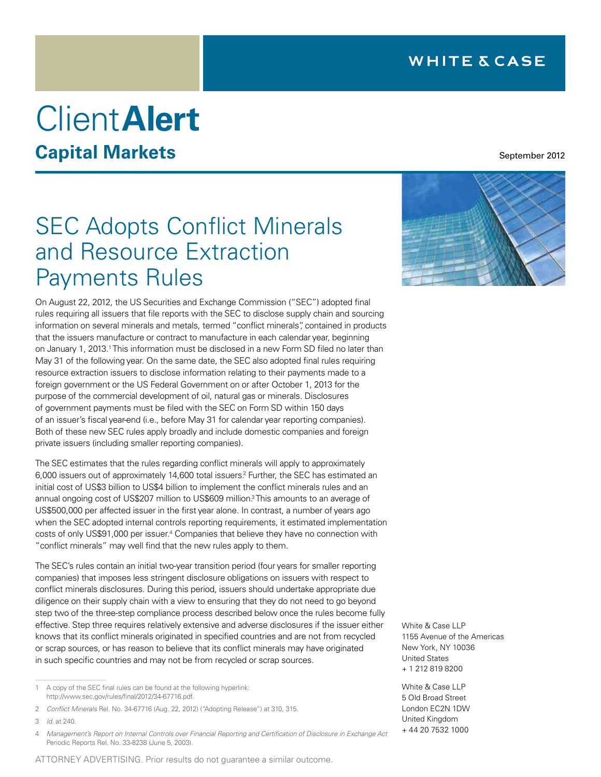# Client**Alert**

# **Capital Markets**

September 2012

# **SEC Adopts Conflict Minerals** and Resource Extraction Payments Rules

On August 22, 2012, the US Securities and Exchange Commission ("SEC") adopted final rules requiring all issuers that file reports with the SEC to disclose supply chain and sourcing information on several minerals and metals, termed "conflict minerals", contained in products that the issuers manufacture or contract to manufacture in each calendar year, beginning on January 1, 2013.<sup>1</sup> This information must be disclosed in a new Form SD filed no later than May 31 of the following year. On the same date, the SEC also adopted final rules requiring resource extraction issuers to disclose information relating to their payments made to a foreign government or the US Federal Government on or after October 1, 2013 for the purpose of the commercial development of oil, natural gas or minerals. Disclosures of government payments must be filed with the SEC on Form SD within 150 days of an issuer's fiscal year-end (i.e., before May 31 for calendar year reporting companies). Both of these new SEC rules apply broadly and include domestic companies and foreign private issuers (including smaller reporting companies).

The SEC estimates that the rules regarding conflict minerals will apply to approximately 6,000 issuers out of approximately 14,600 total issuers.<sup>2</sup> Further, the SEC has estimated an initial cost of US\$3 billion to US\$4 billion to implement the conflict minerals rules and an annual ongoing cost of US\$207 million to US\$609 million.<sup>3</sup> This amounts to an average of US\$500,000 per affected issuer in the first year alone. In contrast, a number of years ago when the SEC adopted internal controls reporting requirements, it estimated implementation costs of only US\$91,000 per issuer.4 Companies that believe they have no connection with "conflict minerals" may well find that the new rules apply to them.

The SEC's rules contain an initial two-year transition period (four years for smaller reporting companies) that imposes less stringent disclosure obligations on issuers with respect to conflict minerals disclosures. During this period, issuers should undertake appropriate due diligence on their supply chain with a view to ensuring that they do not need to go beyond step two of the three-step compliance process described below once the rules become fully effective. Step three requires relatively extensive and adverse disclosures if the issuer either knows that its conflict minerals originated in specified countries and are not from recycled or scrap sources, or has reason to believe that its conflict minerals may have originated in such specific countries and may not be from recycled or scrap sources.

<sup>4</sup> *Management's Report on Internal Controls over Financial Reporting and Certification of Disclosure in Exchange Act*  Periodic Reports Rel. No. 33-8238 (June 5, 2003).





White & Case LLP 1155 Avenue of the Americas New York, NY 10036 United States + 1 212 819 8200

White & Case LLP 5 Old Broad Street London EC2N 1DW United Kingdom + 44 20 7532 1000

<sup>1</sup> A copy of the SEC final rules can be found at the following hyperlink: [http://www.sec.gov/rules/final/2012/34-67716.pdf.](http://www.sec.gov/rules/final/2012/34-67716.pdf)

<sup>2</sup> *Conflict Minerals* Rel. No. 34-67716 (Aug. 22, 2012) ("Adopting Release") at 310, 315.

<sup>3</sup> *Id*. at 240.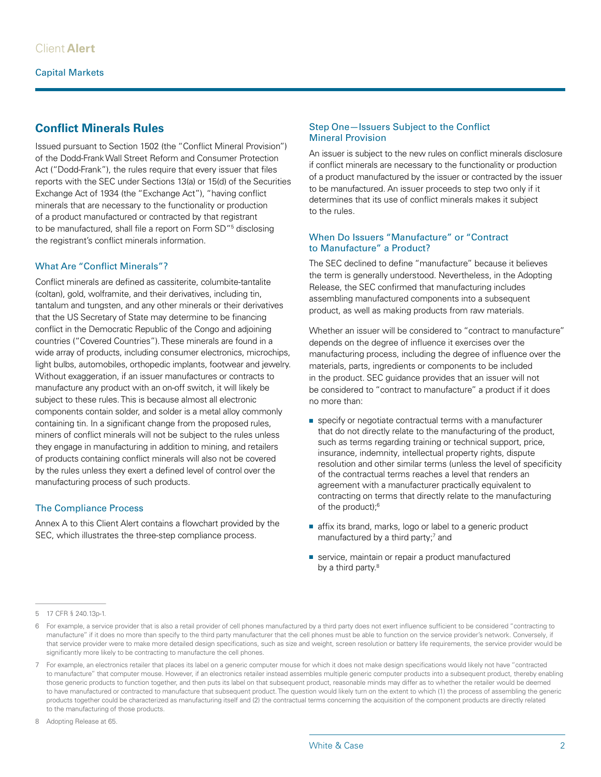### **Conflict Minerals Rules**

Issued pursuant to Section 1502 (the "Conflict Mineral Provision") of the Dodd-Frank Wall Street Reform and Consumer Protection Act ("Dodd-Frank"), the rules require that every issuer that files reports with the SEC under Sections 13(a) or 15(d) of the Securities Exchange Act of 1934 (the "Exchange Act"), "having conflict minerals that are necessary to the functionality or production of a product manufactured or contracted by that registrant to be manufactured, shall file a report on Form SD"5 disclosing the registrant's conflict minerals information.

#### What Are "Conflict Minerals"?

Conflict minerals are defined as cassiterite, columbite-tantalite (coltan), gold, wolframite, and their derivatives, including tin, tantalum and tungsten, and any other minerals or their derivatives that the US Secretary of State may determine to be financing conflict in the Democratic Republic of the Congo and adjoining countries ("Covered Countries"). These minerals are found in a wide array of products, including consumer electronics, microchips, light bulbs, automobiles, orthopedic implants, footwear and jewelry. Without exaggeration, if an issuer manufactures or contracts to manufacture any product with an on-off switch, it will likely be subject to these rules. This is because almost all electronic components contain solder, and solder is a metal alloy commonly containing tin. In a significant change from the proposed rules, miners of conflict minerals will not be subject to the rules unless they engage in manufacturing in addition to mining, and retailers of products containing conflict minerals will also not be covered by the rules unless they exert a defined level of control over the manufacturing process of such products.

#### The Compliance Process

Annex A to this Client Alert contains a flowchart provided by the SEC, which illustrates the three-step compliance process.

#### Step One—Issuers Subject to the Conflict Mineral Provision

An issuer is subject to the new rules on conflict minerals disclosure if conflict minerals are necessary to the functionality or production of a product manufactured by the issuer or contracted by the issuer to be manufactured. An issuer proceeds to step two only if it determines that its use of conflict minerals makes it subject to the rules.

#### When Do Issuers "Manufacture" or "Contract to Manufacture" a Product?

The SEC declined to define "manufacture" because it believes the term is generally understood. Nevertheless, in the Adopting Release, the SEC confirmed that manufacturing includes assembling manufactured components into a subsequent product, as well as making products from raw materials.

Whether an issuer will be considered to "contract to manufacture" depends on the degree of influence it exercises over the manufacturing process, including the degree of influence over the materials, parts, ingredients or components to be included in the product. SEC guidance provides that an issuer will not be considered to "contract to manufacture" a product if it does no more than:

- specify or negotiate contractual terms with a manufacturer that do not directly relate to the manufacturing of the product, such as terms regarding training or technical support, price, insurance, indemnity, intellectual property rights, dispute resolution and other similar terms (unless the level of specificity of the contractual terms reaches a level that renders an agreement with a manufacturer practically equivalent to contracting on terms that directly relate to the manufacturing of the product);6
- affix its brand, marks, logo or label to a generic product manufactured by a third party;<sup>7</sup> and
- service, maintain or repair a product manufactured by a third party.<sup>8</sup>

8 Adopting Release at 65.

<sup>5</sup> 17 CFR § 240.13p-1.

<sup>6</sup> For example, a service provider that is also a retail provider of cell phones manufactured by a third party does not exert influence sufficient to be considered "contracting to manufacture" if it does no more than specify to the third party manufacturer that the cell phones must be able to function on the service provider's network. Conversely, if that service provider were to make more detailed design specifications, such as size and weight, screen resolution or battery life requirements, the service provider would be significantly more likely to be contracting to manufacture the cell phones.

<sup>7</sup> For example, an electronics retailer that places its label on a generic computer mouse for which it does not make design specifications would likely not have "contracted to manufacture" that computer mouse. However, if an electronics retailer instead assembles multiple generic computer products into a subsequent product, thereby enabling those generic products to function together, and then puts its label on that subsequent product, reasonable minds may differ as to whether the retailer would be deemed to have manufactured or contracted to manufacture that subsequent product. The question would likely turn on the extent to which (1) the process of assembling the generic products together could be characterized as manufacturing itself and (2) the contractual terms concerning the acquisition of the component products are directly related to the manufacturing of those products.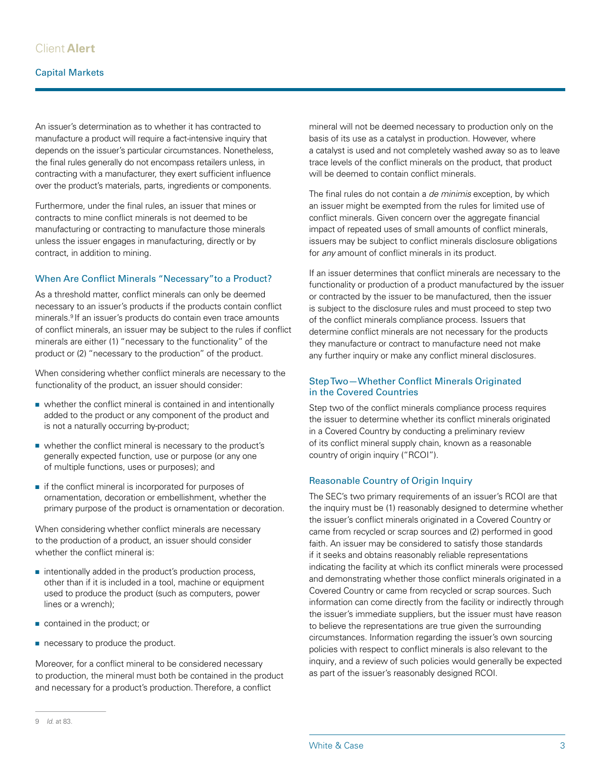#### Capital Markets

An issuer's determination as to whether it has contracted to manufacture a product will require a fact-intensive inquiry that depends on the issuer's particular circumstances. Nonetheless, the final rules generally do not encompass retailers unless, in contracting with a manufacturer, they exert sufficient influence over the product's materials, parts, ingredients or components.

Furthermore, under the final rules, an issuer that mines or contracts to mine conflict minerals is not deemed to be manufacturing or contracting to manufacture those minerals unless the issuer engages in manufacturing, directly or by contract, in addition to mining.

#### When Are Conflict Minerals "Necessary"to a Product?

As a threshold matter, conflict minerals can only be deemed necessary to an issuer's products if the products contain conflict minerals.9 If an issuer's products do contain even trace amounts of conflict minerals, an issuer may be subject to the rules if conflict minerals are either (1) "necessary to the functionality" of the product or (2) "necessary to the production" of the product.

When considering whether conflict minerals are necessary to the functionality of the product, an issuer should consider:

- whether the conflict mineral is contained in and intentionally added to the product or any component of the product and is not a naturally occurring by-product;
- whether the conflict mineral is necessary to the product's generally expected function, use or purpose (or any one of multiple functions, uses or purposes); and
- if the conflict mineral is incorporated for purposes of ornamentation, decoration or embellishment, whether the primary purpose of the product is ornamentation or decoration.

When considering whether conflict minerals are necessary to the production of a product, an issuer should consider whether the conflict mineral is:

- intentionally added in the product's production process, other than if it is included in a tool, machine or equipment used to produce the product (such as computers, power lines or a wrench);
- contained in the product; or
- necessary to produce the product.

Moreover, for a conflict mineral to be considered necessary to production, the mineral must both be contained in the product and necessary for a product's production. Therefore, a conflict

mineral will not be deemed necessary to production only on the basis of its use as a catalyst in production. However, where a catalyst is used and not completely washed away so as to leave trace levels of the conflict minerals on the product, that product will be deemed to contain conflict minerals.

The final rules do not contain a *de minimis* exception, by which an issuer might be exempted from the rules for limited use of conflict minerals. Given concern over the aggregate financial impact of repeated uses of small amounts of conflict minerals, issuers may be subject to conflict minerals disclosure obligations for *any* amount of conflict minerals in its product.

If an issuer determines that conflict minerals are necessary to the functionality or production of a product manufactured by the issuer or contracted by the issuer to be manufactured, then the issuer is subject to the disclosure rules and must proceed to step two of the conflict minerals compliance process. Issuers that determine conflict minerals are not necessary for the products they manufacture or contract to manufacture need not make any further inquiry or make any conflict mineral disclosures.

#### Step Two—Whether Conflict Minerals Originated in the Covered Countries

Step two of the conflict minerals compliance process requires the issuer to determine whether its conflict minerals originated in a Covered Country by conducting a preliminary review of its conflict mineral supply chain, known as a reasonable country of origin inquiry ("RCOI").

#### Reasonable Country of Origin Inquiry

The SEC's two primary requirements of an issuer's RCOI are that the inquiry must be (1) reasonably designed to determine whether the issuer's conflict minerals originated in a Covered Country or came from recycled or scrap sources and (2) performed in good faith. An issuer may be considered to satisfy those standards if it seeks and obtains reasonably reliable representations indicating the facility at which its conflict minerals were processed and demonstrating whether those conflict minerals originated in a Covered Country or came from recycled or scrap sources. Such information can come directly from the facility or indirectly through the issuer's immediate suppliers, but the issuer must have reason to believe the representations are true given the surrounding circumstances. Information regarding the issuer's own sourcing policies with respect to conflict minerals is also relevant to the inquiry, and a review of such policies would generally be expected as part of the issuer's reasonably designed RCOI.

<sup>9</sup> *Id*. at 83.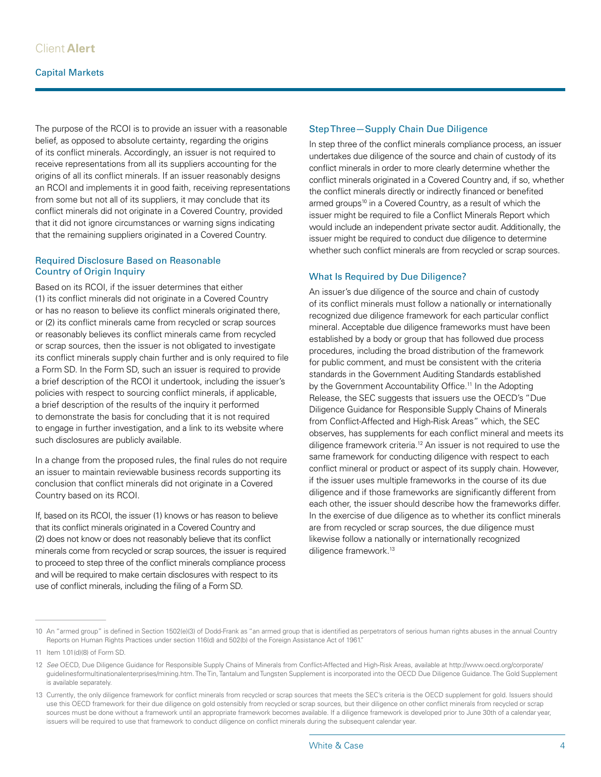The purpose of the RCOI is to provide an issuer with a reasonable belief, as opposed to absolute certainty, regarding the origins of its conflict minerals. Accordingly, an issuer is not required to receive representations from all its suppliers accounting for the origins of all its conflict minerals. If an issuer reasonably designs an RCOI and implements it in good faith, receiving representations from some but not all of its suppliers, it may conclude that its conflict minerals did not originate in a Covered Country, provided that it did not ignore circumstances or warning signs indicating that the remaining suppliers originated in a Covered Country.

#### Required Disclosure Based on Reasonable Country of Origin Inquiry

Based on its RCOI, if the issuer determines that either (1) its conflict minerals did not originate in a Covered Country or has no reason to believe its conflict minerals originated there, or (2) its conflict minerals came from recycled or scrap sources or reasonably believes its conflict minerals came from recycled or scrap sources, then the issuer is not obligated to investigate its conflict minerals supply chain further and is only required to file a Form SD. In the Form SD, such an issuer is required to provide a brief description of the RCOI it undertook, including the issuer's policies with respect to sourcing conflict minerals, if applicable, a brief description of the results of the inquiry it performed to demonstrate the basis for concluding that it is not required to engage in further investigation, and a link to its website where such disclosures are publicly available.

In a change from the proposed rules, the final rules do not require an issuer to maintain reviewable business records supporting its conclusion that conflict minerals did not originate in a Covered Country based on its RCOI.

If, based on its RCOI, the issuer (1) knows or has reason to believe that its conflict minerals originated in a Covered Country and (2) does not know or does not reasonably believe that its conflict minerals come from recycled or scrap sources, the issuer is required to proceed to step three of the conflict minerals compliance process and will be required to make certain disclosures with respect to its use of conflict minerals, including the filing of a Form SD.

#### Step Three—Supply Chain Due Diligence

In step three of the conflict minerals compliance process, an issuer undertakes due diligence of the source and chain of custody of its conflict minerals in order to more clearly determine whether the conflict minerals originated in a Covered Country and, if so, whether the conflict minerals directly or indirectly financed or benefited armed groups<sup>10</sup> in a Covered Country, as a result of which the issuer might be required to file a Conflict Minerals Report which would include an independent private sector audit. Additionally, the issuer might be required to conduct due diligence to determine whether such conflict minerals are from recycled or scrap sources.

#### What Is Required by Due Diligence?

An issuer's due diligence of the source and chain of custody of its conflict minerals must follow a nationally or internationally recognized due diligence framework for each particular conflict mineral. Acceptable due diligence frameworks must have been established by a body or group that has followed due process procedures, including the broad distribution of the framework for public comment, and must be consistent with the criteria standards in the Government Auditing Standards established by the Government Accountability Office.<sup>11</sup> In the Adopting Release, the SEC suggests that issuers use the OECD's "Due Diligence Guidance for Responsible Supply Chains of Minerals from Conflict-Affected and High-Risk Areas" which, the SEC observes, has supplements for each conflict mineral and meets its diligence framework criteria.12 An issuer is not required to use the same framework for conducting diligence with respect to each conflict mineral or product or aspect of its supply chain. However, if the issuer uses multiple frameworks in the course of its due diligence and if those frameworks are significantly different from each other, the issuer should describe how the frameworks differ. In the exercise of due diligence as to whether its conflict minerals are from recycled or scrap sources, the due diligence must likewise follow a nationally or internationally recognized diligence framework.13

<sup>10</sup> An "armed group" is defined in Section 1502(e)(3) of Dodd-Frank as "an armed group that is identified as perpetrators of serious human rights abuses in the annual Country Reports on Human Rights Practices under section 116(d) and 502(b) of the Foreign Assistance Act of 1961."

<sup>11</sup> Item 1.01(d)(8) of Form SD.

<sup>12</sup> See OECD, Due Diligence Guidance for Responsible Supply Chains of Minerals from Conflict-Affected and High-Risk Areas, available at [http://www.oecd.org/corporate/](http://www.oecd.org/corporate/guidelinesformultinationalenterprises/mining.htm) [guidelinesformultinationalenterprises/mining.htm](http://www.oecd.org/corporate/guidelinesformultinationalenterprises/mining.htm). The Tin, Tantalum and Tungsten Supplement is incorporated into the OECD Due Diligence Guidance. The Gold Supplement is available separately.

<sup>13</sup> Currently, the only diligence framework for conflict minerals from recycled or scrap sources that meets the SEC's criteria is the OECD supplement for gold. Issuers should use this OECD framework for their due diligence on gold ostensibly from recycled or scrap sources, but their diligence on other conflict minerals from recycled or scrap sources must be done without a framework until an appropriate framework becomes available. If a diligence framework is developed prior to June 30th of a calendar year, issuers will be required to use that framework to conduct diligence on conflict minerals during the subsequent calendar year.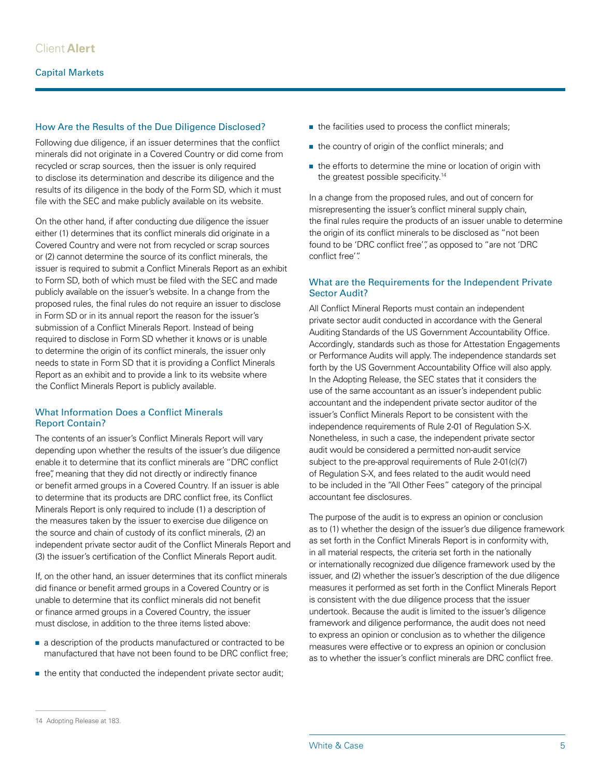#### How Are the Results of the Due Diligence Disclosed?

Following due diligence, if an issuer determines that the conflict minerals did not originate in a Covered Country or did come from recycled or scrap sources, then the issuer is only required to disclose its determination and describe its diligence and the results of its diligence in the body of the Form SD, which it must file with the SEC and make publicly available on its website.

On the other hand, if after conducting due diligence the issuer either (1) determines that its conflict minerals did originate in a Covered Country and were not from recycled or scrap sources or (2) cannot determine the source of its conflict minerals, the issuer is required to submit a Conflict Minerals Report as an exhibit to Form SD, both of which must be filed with the SEC and made publicly available on the issuer's website. In a change from the proposed rules, the final rules do not require an issuer to disclose in Form SD or in its annual report the reason for the issuer's submission of a Conflict Minerals Report. Instead of being required to disclose in Form SD whether it knows or is unable to determine the origin of its conflict minerals, the issuer only needs to state in Form SD that it is providing a Conflict Minerals Report as an exhibit and to provide a link to its website where the Conflict Minerals Report is publicly available.

#### What Information Does a Conflict Minerals Report Contain?

The contents of an issuer's Conflict Minerals Report will vary depending upon whether the results of the issuer's due diligence enable it to determine that its conflict minerals are "DRC conflict free", meaning that they did not directly or indirectly finance or benefit armed groups in a Covered Country. If an issuer is able to determine that its products are DRC conflict free, its Conflict Minerals Report is only required to include (1) a description of the measures taken by the issuer to exercise due diligence on the source and chain of custody of its conflict minerals, (2) an independent private sector audit of the Conflict Minerals Report and (3) the issuer's certification of the Conflict Minerals Report audit.

If, on the other hand, an issuer determines that its conflict minerals did finance or benefit armed groups in a Covered Country or is unable to determine that its conflict minerals did not benefit or finance armed groups in a Covered Country, the issuer must disclose, in addition to the three items listed above:

- a description of the products manufactured or contracted to be manufactured that have not been found to be DRC conflict free;
- the entity that conducted the independent private sector audit;
- the facilities used to process the conflict minerals;
- the country of origin of the conflict minerals; and
- the efforts to determine the mine or location of origin with the greatest possible specificity.<sup>14</sup>

In a change from the proposed rules, and out of concern for misrepresenting the issuer's conflict mineral supply chain, the final rules require the products of an issuer unable to determine the origin of its conflict minerals to be disclosed as "not been found to be 'DRC conflict free'", as opposed to "are not 'DRC conflict free'".

#### What are the Requirements for the Independent Private Sector Audit?

All Conflict Mineral Reports must contain an independent private sector audit conducted in accordance with the General Auditing Standards of the US Government Accountability Office. Accordingly, standards such as those for Attestation Engagements or Performance Audits will apply. The independence standards set forth by the US Government Accountability Office will also apply. In the Adopting Release, the SEC states that it considers the use of the same accountant as an issuer's independent public accountant and the independent private sector auditor of the issuer's Conflict Minerals Report to be consistent with the independence requirements of Rule 2-01 of Regulation S-X. Nonetheless, in such a case, the independent private sector audit would be considered a permitted non-audit service subject to the pre-approval requirements of Rule 2-01(c)(7) of Regulation S-X, and fees related to the audit would need to be included in the "All Other Fees" category of the principal accountant fee disclosures.

The purpose of the audit is to express an opinion or conclusion as to (1) whether the design of the issuer's due diligence framework as set forth in the Conflict Minerals Report is in conformity with, in all material respects, the criteria set forth in the nationally or internationally recognized due diligence framework used by the issuer, and (2) whether the issuer's description of the due diligence measures it performed as set forth in the Conflict Minerals Report is consistent with the due diligence process that the issuer undertook. Because the audit is limited to the issuer's diligence framework and diligence performance, the audit does not need to express an opinion or conclusion as to whether the diligence measures were effective or to express an opinion or conclusion as to whether the issuer's conflict minerals are DRC conflict free.

<sup>14</sup> Adopting Release at 183.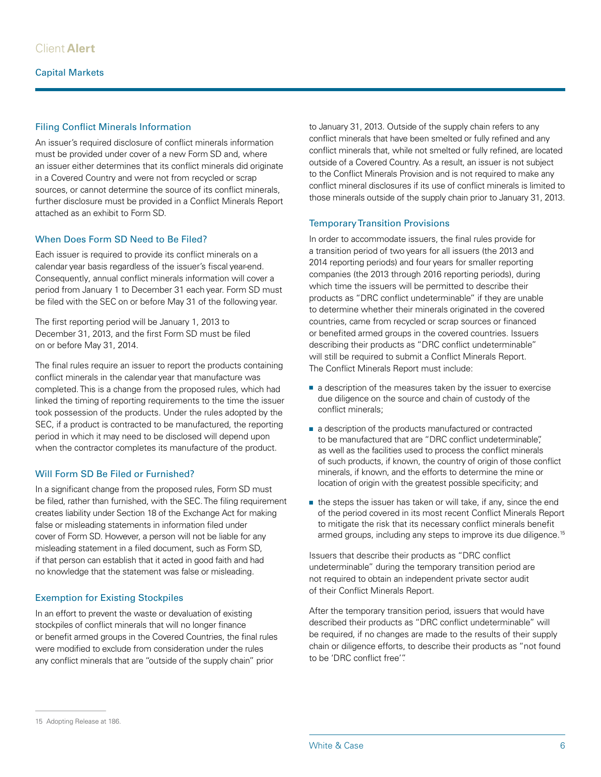#### Filing Conflict Minerals Information

An issuer's required disclosure of conflict minerals information must be provided under cover of a new Form SD and, where an issuer either determines that its conflict minerals did originate in a Covered Country and were not from recycled or scrap sources, or cannot determine the source of its conflict minerals, further disclosure must be provided in a Conflict Minerals Report attached as an exhibit to Form SD.

#### When Does Form SD Need to Be Filed?

Each issuer is required to provide its conflict minerals on a calendar year basis regardless of the issuer's fiscal year-end. Consequently, annual conflict minerals information will cover a period from January 1 to December 31 each year. Form SD must be filed with the SEC on or before May 31 of the following year.

The first reporting period will be January 1, 2013 to December 31, 2013, and the first Form SD must be filed on or before May 31, 2014.

The final rules require an issuer to report the products containing conflict minerals in the calendar year that manufacture was completed. This is a change from the proposed rules, which had linked the timing of reporting requirements to the time the issuer took possession of the products. Under the rules adopted by the SEC, if a product is contracted to be manufactured, the reporting period in which it may need to be disclosed will depend upon when the contractor completes its manufacture of the product.

#### Will Form SD Be Filed or Furnished?

In a significant change from the proposed rules, Form SD must be filed, rather than furnished, with the SEC. The filing requirement creates liability under Section 18 of the Exchange Act for making false or misleading statements in information filed under cover of Form SD. However, a person will not be liable for any misleading statement in a filed document, such as Form SD, if that person can establish that it acted in good faith and had no knowledge that the statement was false or misleading.

#### Exemption for Existing Stockpiles

In an effort to prevent the waste or devaluation of existing stockpiles of conflict minerals that will no longer finance or benefit armed groups in the Covered Countries, the final rules were modified to exclude from consideration under the rules any conflict minerals that are "outside of the supply chain" prior

to January 31, 2013. Outside of the supply chain refers to any conflict minerals that have been smelted or fully refined and any conflict minerals that, while not smelted or fully refined, are located outside of a Covered Country. As a result, an issuer is not subject to the Conflict Minerals Provision and is not required to make any conflict mineral disclosures if its use of conflict minerals is limited to those minerals outside of the supply chain prior to January 31, 2013.

#### Temporary Transition Provisions

In order to accommodate issuers, the final rules provide for a transition period of two years for all issuers (the 2013 and 2014 reporting periods) and four years for smaller reporting companies (the 2013 through 2016 reporting periods), during which time the issuers will be permitted to describe their products as "DRC conflict undeterminable" if they are unable to determine whether their minerals originated in the covered countries, came from recycled or scrap sources or financed or benefited armed groups in the covered countries. Issuers describing their products as "DRC conflict undeterminable" will still be required to submit a Conflict Minerals Report. The Conflict Minerals Report must include:

- a description of the measures taken by the issuer to exercise due diligence on the source and chain of custody of the conflict minerals;
- a description of the products manufactured or contracted to be manufactured that are "DRC conflict undeterminable", as well as the facilities used to process the conflict minerals of such products, if known, the country of origin of those conflict minerals, if known, and the efforts to determine the mine or location of origin with the greatest possible specificity; and
- the steps the issuer has taken or will take, if any, since the end of the period covered in its most recent Conflict Minerals Report to mitigate the risk that its necessary conflict minerals benefit armed groups, including any steps to improve its due diligence.<sup>15</sup>

Issuers that describe their products as "DRC conflict undeterminable" during the temporary transition period are not required to obtain an independent private sector audit of their Conflict Minerals Report.

After the temporary transition period, issuers that would have described their products as "DRC conflict undeterminable" will be required, if no changes are made to the results of their supply chain or diligence efforts, to describe their products as "not found to be 'DRC conflict free'".

<sup>15</sup> Adopting Release at 186.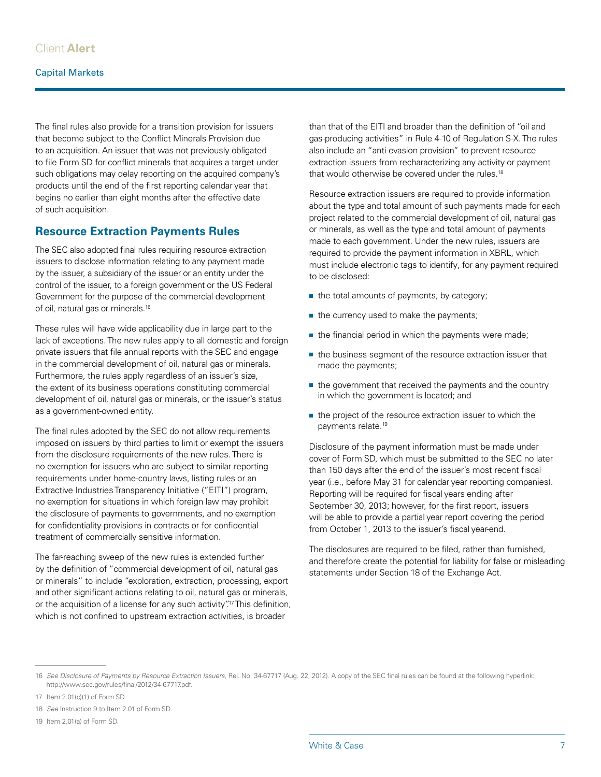#### Capital Markets

The final rules also provide for a transition provision for issuers that become subject to the Conflict Minerals Provision due to an acquisition. An issuer that was not previously obligated to file Form SD for conflict minerals that acquires a target under such obligations may delay reporting on the acquired company's products until the end of the first reporting calendar year that begins no earlier than eight months after the effective date of such acquisition.

#### **Resource Extraction Payments Rules**

The SEC also adopted final rules requiring resource extraction issuers to disclose information relating to any payment made by the issuer, a subsidiary of the issuer or an entity under the control of the issuer, to a foreign government or the US Federal Government for the purpose of the commercial development of oil, natural gas or minerals.16

These rules will have wide applicability due in large part to the lack of exceptions. The new rules apply to all domestic and foreign private issuers that file annual reports with the SEC and engage in the commercial development of oil, natural gas or minerals. Furthermore, the rules apply regardless of an issuer's size, the extent of its business operations constituting commercial development of oil, natural gas or minerals, or the issuer's status as a government-owned entity.

The final rules adopted by the SEC do not allow requirements imposed on issuers by third parties to limit or exempt the issuers from the disclosure requirements of the new rules. There is no exemption for issuers who are subject to similar reporting requirements under home-country laws, listing rules or an Extractive Industries Transparency Initiative ("EITI") program, no exemption for situations in which foreign law may prohibit the disclosure of payments to governments, and no exemption for confidentiality provisions in contracts or for confidential treatment of commercially sensitive information.

The far-reaching sweep of the new rules is extended further by the definition of "commercial development of oil, natural gas or minerals" to include "exploration, extraction, processing, export and other significant actions relating to oil, natural gas or minerals, or the acquisition of a license for any such activity"<sup>17</sup> This definition, which is not confined to upstream extraction activities, is broader

than that of the EITI and broader than the definition of "oil and gas-producing activities" in Rule 4-10 of Regulation S-X. The rules also include an "anti-evasion provision" to prevent resource extraction issuers from recharacterizing any activity or payment that would otherwise be covered under the rules.<sup>18</sup>

Resource extraction issuers are required to provide information about the type and total amount of such payments made for each project related to the commercial development of oil, natural gas or minerals, as well as the type and total amount of payments made to each government. Under the new rules, issuers are required to provide the payment information in XBRL, which must include electronic tags to identify, for any payment required to be disclosed:

- the total amounts of payments, by category;
- the currency used to make the payments;
- the financial period in which the payments were made;
- the business segment of the resource extraction issuer that made the payments;
- the government that received the payments and the country in which the government is located; and
- the project of the resource extraction issuer to which the payments relate.<sup>19</sup>

Disclosure of the payment information must be made under cover of Form SD, which must be submitted to the SEC no later than 150 days after the end of the issuer's most recent fiscal year (i.e., before May 31 for calendar year reporting companies). Reporting will be required for fiscal years ending after September 30, 2013; however, for the first report, issuers will be able to provide a partial year report covering the period from October 1, 2013 to the issuer's fiscal year-end.

The disclosures are required to be filed, rather than furnished, and therefore create the potential for liability for false or misleading statements under Section 18 of the Exchange Act.

<sup>16</sup> *See Disclosure of Payments by Resource Extraction Issuers*, Rel. No. 34-67717 (Aug. 22, 2012). A copy of the SEC final rules can be found at the following hyperlink: <http://www.sec.gov/rules/final/2012/34-67717.pdf>.

<sup>17</sup> Item 2.01(c)(1) of Form SD.

<sup>18</sup> *See* Instruction 9 to Item 2.01 of Form SD.

<sup>19</sup> Item 2.01(a) of Form SD.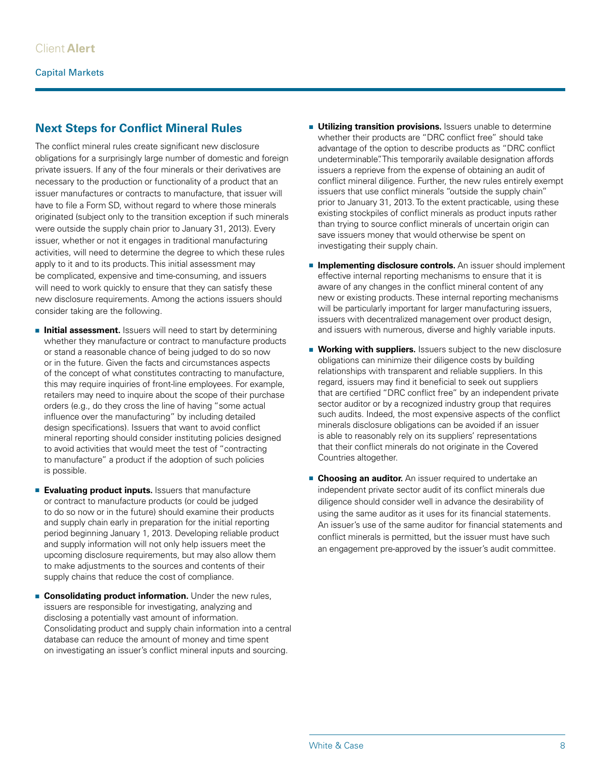# **Next Steps for Conflict Mineral Rules**

The conflict mineral rules create significant new disclosure obligations for a surprisingly large number of domestic and foreign private issuers. If any of the four minerals or their derivatives are necessary to the production or functionality of a product that an issuer manufactures or contracts to manufacture, that issuer will have to file a Form SD, without regard to where those minerals originated (subject only to the transition exception if such minerals were outside the supply chain prior to January 31, 2013). Every issuer, whether or not it engages in traditional manufacturing activities, will need to determine the degree to which these rules apply to it and to its products. This initial assessment may be complicated, expensive and time-consuming, and issuers will need to work quickly to ensure that they can satisfy these new disclosure requirements. Among the actions issuers should consider taking are the following.

- **Initial assessment.** Issuers will need to start by determining whether they manufacture or contract to manufacture products or stand a reasonable chance of being judged to do so now or in the future. Given the facts and circumstances aspects of the concept of what constitutes contracting to manufacture, this may require inquiries of front-line employees. For example, retailers may need to inquire about the scope of their purchase orders (e.g., do they cross the line of having "some actual influence over the manufacturing" by including detailed design specifications). Issuers that want to avoid conflict mineral reporting should consider instituting policies designed to avoid activities that would meet the test of "contracting to manufacture" a product if the adoption of such policies is possible.
- **Evaluating product inputs.** Issuers that manufacture or contract to manufacture products (or could be judged to do so now or in the future) should examine their products and supply chain early in preparation for the initial reporting period beginning January 1, 2013. Developing reliable product and supply information will not only help issuers meet the upcoming disclosure requirements, but may also allow them to make adjustments to the sources and contents of their supply chains that reduce the cost of compliance.
- **E** Consolidating product information. Under the new rules, issuers are responsible for investigating, analyzing and disclosing a potentially vast amount of information. Consolidating product and supply chain information into a central database can reduce the amount of money and time spent on investigating an issuer's conflict mineral inputs and sourcing.
- **Utilizing transition provisions.** Issuers unable to determine whether their products are "DRC conflict free" should take advantage of the option to describe products as "DRC conflict undeterminable". This temporarily available designation affords issuers a reprieve from the expense of obtaining an audit of conflict mineral diligence. Further, the new rules entirely exempt issuers that use conflict minerals "outside the supply chain" prior to January 31, 2013. To the extent practicable, using these existing stockpiles of conflict minerals as product inputs rather than trying to source conflict minerals of uncertain origin can save issuers money that would otherwise be spent on investigating their supply chain.
- **Implementing disclosure controls.** An issuer should implement effective internal reporting mechanisms to ensure that it is aware of any changes in the conflict mineral content of any new or existing products. These internal reporting mechanisms will be particularly important for larger manufacturing issuers, issuers with decentralized management over product design, and issuers with numerous, diverse and highly variable inputs.
- **Working with suppliers.** Issuers subject to the new disclosure obligations can minimize their diligence costs by building relationships with transparent and reliable suppliers. In this regard, issuers may find it beneficial to seek out suppliers that are certified "DRC conflict free" by an independent private sector auditor or by a recognized industry group that requires such audits. Indeed, the most expensive aspects of the conflict minerals disclosure obligations can be avoided if an issuer is able to reasonably rely on its suppliers' representations that their conflict minerals do not originate in the Covered Countries altogether.
- **Example 2 Choosing an auditor.** An issuer required to undertake an independent private sector audit of its conflict minerals due diligence should consider well in advance the desirability of using the same auditor as it uses for its financial statements. An issuer's use of the same auditor for financial statements and conflict minerals is permitted, but the issuer must have such an engagement pre-approved by the issuer's audit committee.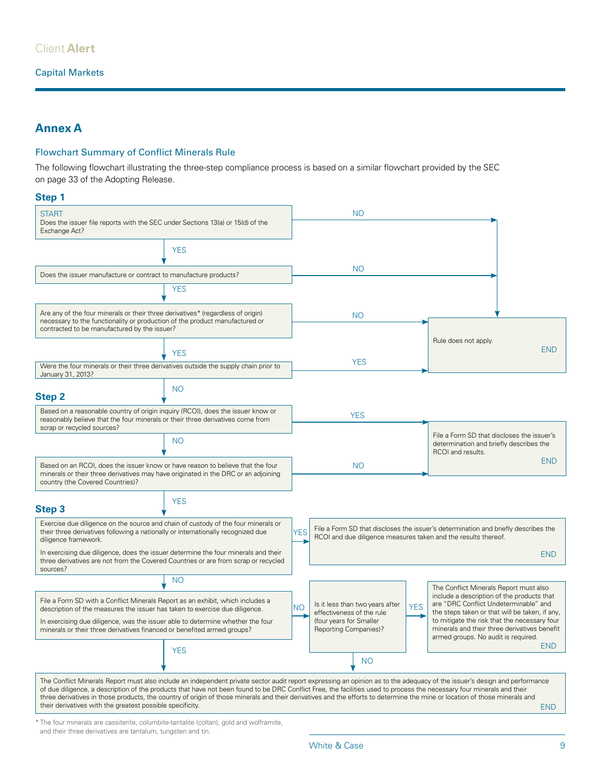## Client **Alert**

#### Capital Markets

## **Annex A**

#### Flowchart Summary of Conflict Minerals Rule

The following flowchart illustrating the three-step compliance process is based on a similar flowchart provided by the SEC on page 33 of the Adopting Release.

**START** Does the issuer file reports with the SEC under Sections 13(a) or 15(d) of the Exchange Act? Does the issuer manufacture or contract to manufacture products? Are any of the four minerals or their three derivatives\* (regardless of origin) necessary to the functionality or production of the product manufactured or contracted to be manufactured by the issuer? Were the four minerals or their three derivatives outside the supply chain prior to January 31, 2013? Based on a reasonable country of origin inquiry (RCOI), does the issuer know or reasonably believe that the four minerals or their three derivatives come from scrap or recycled sources? Based on an RCOI, does the issuer know or have reason to believe that the four minerals or their three derivatives may have originated in the DRC or an adjoining country (the Covered Countries)? Exercise due diligence on the source and chain of custody of the four minerals or their three derivatives following a nationally or internationally recognized due diligence framework. In exercising due diligence, does the issuer determine the four minerals and their three derivatives are not from the Covered Countries or are from scrap or recycled sources? File a Form SD with a Conflict Minerals Report as an exhibit, which includes a description of the measures the issuer has taken to exercise due diligence. In exercising due diligence, was the issuer able to determine whether the four minerals or their three derivatives financed or benefited armed groups? The Conflict Minerals Report must also include an independent private sector audit report expressing an opinion as to the adequacy of the issuer's design and performance of due diligence, a description of the products that have not been found to be DRC Conflict Free, the facilities used to process the necessary four minerals and their three derivatives in those products, the country of origin of those minerals and their derivatives and the efforts to determine the mine or location of those minerals and their derivatives with the greatest possible specificity. **YFS** YES YES  $N<sub>O</sub>$ NO **YFS** NO **YFS** File a Form SD that discloses the issuer's determination and briefly describes the RCOI and due diligence measures taken and the results thereof. END  $NO$  Is it less than two years after  $YES$ effectiveness of the rule (four years for Smaller Reporting Companies)? NO The Conflict Minerals Report must also include a description of the products that are "DRC Conflict Undeterminable" and the steps taken or that will be taken, if any, to mitigate the risk that the necessary four minerals and their three derivatives benefit armed groups. No audit is required. END YES File a Form SD that discloses the issuer's determination and briefly describes the RCOI and results. END YES NO Rule does not apply. END NO YES NO NO **Step 1 Step 2 Step 3** \* The four minerals are cassiterite, columbite-tantalite (coltan), gold and wolframite, END

and their three derivatives are tantalum, tungsten and tin.